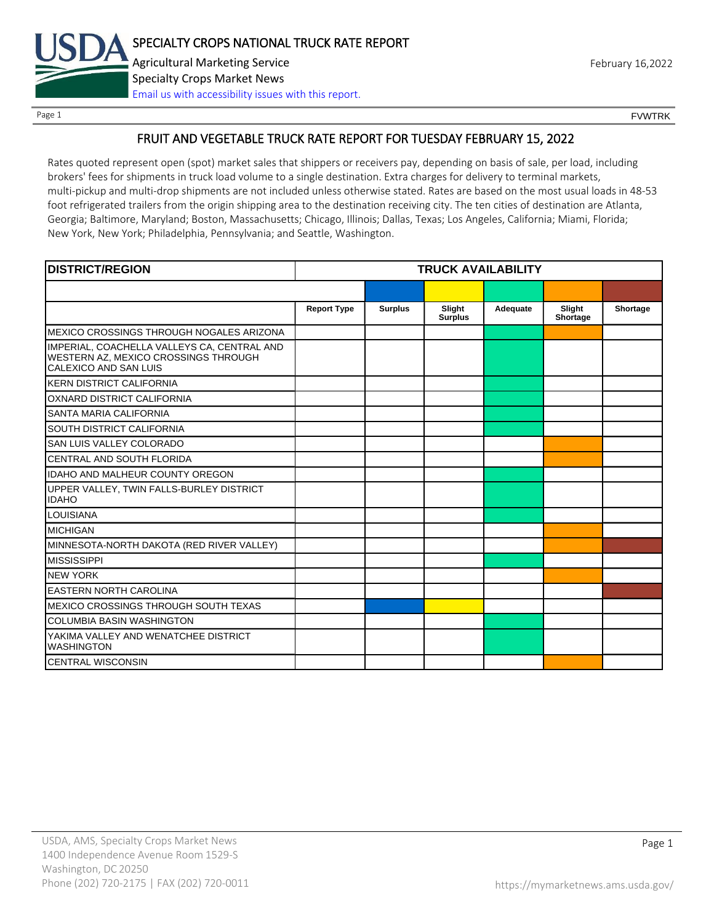

Page 1 FOUNTRK CONTROL CONTROL CONTROL CONTROL CONTROL CONTROL CONTROL CONTROL CONTROL CONTROL CONTROL CONTROL CONTROL CONTROL CONTROL CONTROL CONTROL CONTROL CONTROL CONTROL CONTROL CONTROL CONTROL CONTROL CONTROL CONTROL

## FRUIT AND VEGETABLE TRUCK RATE REPORT FOR TUESDAY FEBRUARY 15, 2022

Rates quoted represent open (spot) market sales that shippers or receivers pay, depending on basis of sale, per load, including brokers' fees for shipments in truck load volume to a single destination. Extra charges for delivery to terminal markets, multi-pickup and multi-drop shipments are not included unless otherwise stated. Rates are based on the most usual loads in 48-53 foot refrigerated trailers from the origin shipping area to the destination receiving city. The ten cities of destination are Atlanta, Georgia; Baltimore, Maryland; Boston, Massachusetts; Chicago, Illinois; Dallas, Texas; Los Angeles, California; Miami, Florida; New York, New York; Philadelphia, Pennsylvania; and Seattle, Washington.

| <b>DISTRICT/REGION</b>                                                                                       |                    |                | <b>TRUCK AVAILABILITY</b> |          |                    |          |
|--------------------------------------------------------------------------------------------------------------|--------------------|----------------|---------------------------|----------|--------------------|----------|
|                                                                                                              |                    |                |                           |          |                    |          |
|                                                                                                              | <b>Report Type</b> | <b>Surplus</b> | Slight<br><b>Surplus</b>  | Adequate | Slight<br>Shortage | Shortage |
| MEXICO CROSSINGS THROUGH NOGALES ARIZONA                                                                     |                    |                |                           |          |                    |          |
| IMPERIAL, COACHELLA VALLEYS CA, CENTRAL AND<br>WESTERN AZ, MEXICO CROSSINGS THROUGH<br>CALEXICO AND SAN LUIS |                    |                |                           |          |                    |          |
| <b>KERN DISTRICT CALIFORNIA</b>                                                                              |                    |                |                           |          |                    |          |
| OXNARD DISTRICT CALIFORNIA                                                                                   |                    |                |                           |          |                    |          |
| SANTA MARIA CALIFORNIA                                                                                       |                    |                |                           |          |                    |          |
| SOUTH DISTRICT CALIFORNIA                                                                                    |                    |                |                           |          |                    |          |
| SAN LUIS VALLEY COLORADO                                                                                     |                    |                |                           |          |                    |          |
| CENTRAL AND SOUTH FLORIDA                                                                                    |                    |                |                           |          |                    |          |
| <b>IDAHO AND MALHEUR COUNTY OREGON</b>                                                                       |                    |                |                           |          |                    |          |
| UPPER VALLEY, TWIN FALLS-BURLEY DISTRICT<br><b>IDAHO</b>                                                     |                    |                |                           |          |                    |          |
| <b>LOUISIANA</b>                                                                                             |                    |                |                           |          |                    |          |
| <b>MICHIGAN</b>                                                                                              |                    |                |                           |          |                    |          |
| MINNESOTA-NORTH DAKOTA (RED RIVER VALLEY)                                                                    |                    |                |                           |          |                    |          |
| <b>MISSISSIPPI</b>                                                                                           |                    |                |                           |          |                    |          |
| <b>NEW YORK</b>                                                                                              |                    |                |                           |          |                    |          |
| <b>EASTERN NORTH CAROLINA</b>                                                                                |                    |                |                           |          |                    |          |
| MEXICO CROSSINGS THROUGH SOUTH TEXAS                                                                         |                    |                |                           |          |                    |          |
| <b>COLUMBIA BASIN WASHINGTON</b>                                                                             |                    |                |                           |          |                    |          |
| YAKIMA VALLEY AND WENATCHEE DISTRICT<br><b>WASHINGTON</b>                                                    |                    |                |                           |          |                    |          |
| <b>CENTRAL WISCONSIN</b>                                                                                     |                    |                |                           |          |                    |          |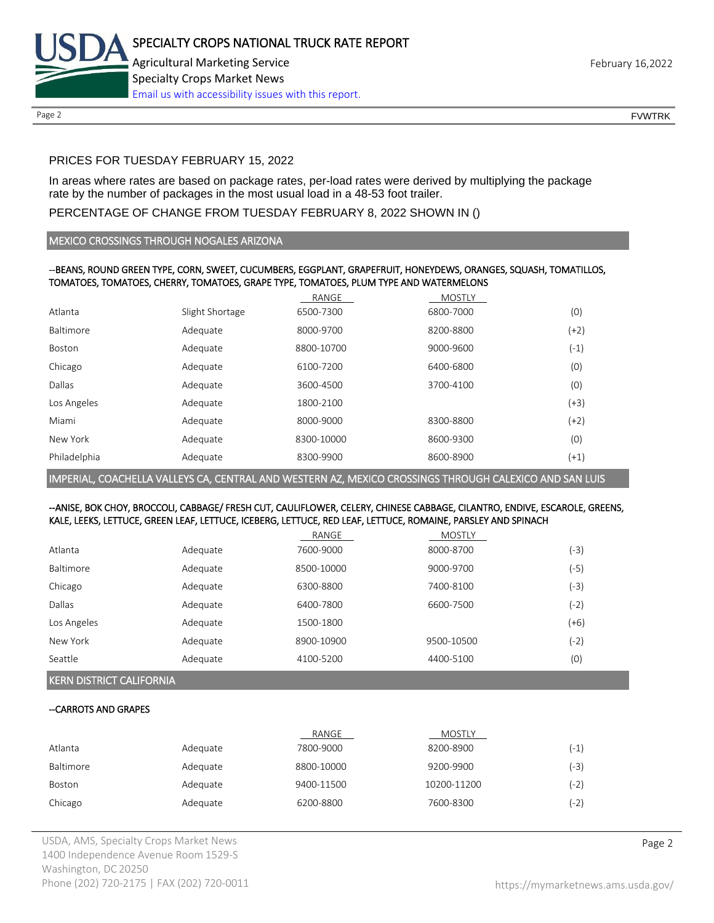

Page 2 FOUNTRK CONTROL CONTROL CONTROL CONTROL CONTROL CONTROL CONTROL CONTROL CONTROL CONTROL CONTROL CONTROL CONTROL CONTROL CONTROL CONTROL CONTROL CONTROL CONTROL CONTROL CONTROL CONTROL CONTROL CONTROL CONTROL CONTROL

# PRICES FOR TUESDAY FEBRUARY 15, 2022

In areas where rates are based on package rates, per-load rates were derived by multiplying the package rate by the number of packages in the most usual load in a 48-53 foot trailer.

# PERCENTAGE OF CHANGE FROM TUESDAY FEBRUARY 8, 2022 SHOWN IN ()

## MEXICO CROSSINGS THROUGH NOGALES ARIZONA

## --BEANS, ROUND GREEN TYPE, CORN, SWEET, CUCUMBERS, EGGPLANT, GRAPEFRUIT, HONEYDEWS, ORANGES, SQUASH, TOMATILLOS, TOMATOES, TOMATOES, CHERRY, TOMATOES, GRAPE TYPE, TOMATOES, PLUM TYPE AND WATERMELONS

|              |                 | RANGE      | <b>MOSTLY</b> |        |
|--------------|-----------------|------------|---------------|--------|
| Atlanta      | Slight Shortage | 6500-7300  | 6800-7000     | (0)    |
| Baltimore    | Adequate        | 8000-9700  | 8200-8800     | $(+2)$ |
| Boston       | Adequate        | 8800-10700 | 9000-9600     | $(-1)$ |
| Chicago      | Adequate        | 6100-7200  | 6400-6800     | (0)    |
| Dallas       | Adequate        | 3600-4500  | 3700-4100     | (0)    |
| Los Angeles  | Adequate        | 1800-2100  |               | (+3)   |
| Miami        | Adequate        | 8000-9000  | 8300-8800     | $(+2)$ |
| New York     | Adequate        | 8300-10000 | 8600-9300     | (0)    |
| Philadelphia | Adequate        | 8300-9900  | 8600-8900     | $(+1)$ |

IMPERIAL, COACHELLA VALLEYS CA, CENTRAL AND WESTERN AZ, MEXICO CROSSINGS THROUGH CALEXICO AND SAN LUIS

## --ANISE, BOK CHOY, BROCCOLI, CABBAGE/ FRESH CUT, CAULIFLOWER, CELERY, CHINESE CABBAGE, CILANTRO, ENDIVE, ESCAROLE, GREENS, KALE, LEEKS, LETTUCE, GREEN LEAF, LETTUCE, ICEBERG, LETTUCE, RED LEAF, LETTUCE, ROMAINE, PARSLEY AND SPINACH

|             |          | RANGE      | <b>MOSTLY</b> |        |
|-------------|----------|------------|---------------|--------|
| Atlanta     | Adequate | 7600-9000  | 8000-8700     | (-3)   |
| Baltimore   | Adequate | 8500-10000 | 9000-9700     | (-5)   |
| Chicago     | Adequate | 6300-8800  | 7400-8100     | (-3)   |
| Dallas      | Adequate | 6400-7800  | 6600-7500     | (-2)   |
| Los Angeles | Adequate | 1500-1800  |               | (+6)   |
| New York    | Adequate | 8900-10900 | 9500-10500    | $(-2)$ |
| Seattle     | Adequate | 4100-5200  | 4400-5100     | (0)    |

KERN DISTRICT CALIFORNIA

## --CARROTS AND GRAPES

|           |          | RANGE      | <b>MOSTLY</b> |        |
|-----------|----------|------------|---------------|--------|
| Atlanta   | Adequate | 7800-9000  | 8200-8900     | (-1)   |
| Baltimore | Adequate | 8800-10000 | 9200-9900     | $(-3)$ |
| Boston    | Adequate | 9400-11500 | 10200-11200   | (-2)   |
| Chicago   | Adequate | 6200-8800  | 7600-8300     | (-2)   |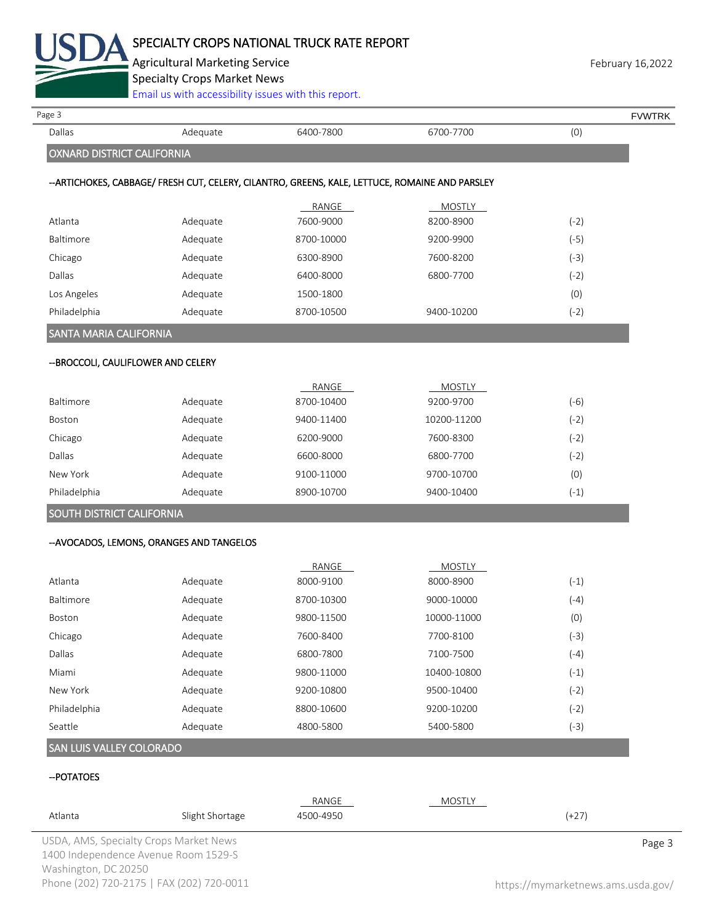

Agricultural Marketing Service **February 16,2022** February 16,2022

Specialty Crops Market News

 $\sum_{i=1}^{n}$  accessibility issues with this  $n$ 

| Page 3                                    |          |                                                                                                 |               |        | <b>FVWTRK</b> |
|-------------------------------------------|----------|-------------------------------------------------------------------------------------------------|---------------|--------|---------------|
| Dallas                                    | Adequate | 6400-7800                                                                                       | 6700-7700     | (0)    |               |
| <b>OXNARD DISTRICT CALIFORNIA</b>         |          |                                                                                                 |               |        |               |
|                                           |          | -- ARTICHOKES, CABBAGE/ FRESH CUT, CELERY, CILANTRO, GREENS, KALE, LETTUCE, ROMAINE AND PARSLEY |               |        |               |
|                                           |          | RANGE                                                                                           | MOSTLY        |        |               |
| Atlanta                                   | Adequate | 7600-9000                                                                                       | 8200-8900     | $(-2)$ |               |
| Baltimore                                 | Adequate | 8700-10000                                                                                      | 9200-9900     | $(-5)$ |               |
| Chicago                                   | Adequate | 6300-8900                                                                                       | 7600-8200     | $(-3)$ |               |
| Dallas                                    | Adequate | 6400-8000                                                                                       | 6800-7700     | $(-2)$ |               |
| Los Angeles                               | Adequate | 1500-1800                                                                                       |               | (0)    |               |
| Philadelphia                              | Adequate | 8700-10500                                                                                      | 9400-10200    | $(-2)$ |               |
| <b>SANTA MARIA CALIFORNIA</b>             |          |                                                                                                 |               |        |               |
| -- BROCCOLI, CAULIFLOWER AND CELERY       |          |                                                                                                 |               |        |               |
|                                           |          | RANGE                                                                                           | MOSTLY        |        |               |
| Baltimore                                 | Adequate | 8700-10400                                                                                      | 9200-9700     | $(-6)$ |               |
| Boston                                    | Adequate | 9400-11400                                                                                      | 10200-11200   | $(-2)$ |               |
| Chicago                                   | Adequate | 6200-9000                                                                                       | 7600-8300     | $(-2)$ |               |
| Dallas                                    | Adequate | 6600-8000                                                                                       | 6800-7700     | $(-2)$ |               |
| New York                                  | Adequate | 9100-11000                                                                                      | 9700-10700    | (0)    |               |
| Philadelphia                              | Adequate | 8900-10700                                                                                      | 9400-10400    | $(-1)$ |               |
| SOUTH DISTRICT CALIFORNIA                 |          |                                                                                                 |               |        |               |
| -- AVOCADOS, LEMONS, ORANGES AND TANGELOS |          |                                                                                                 |               |        |               |
|                                           |          | RANGE                                                                                           | <b>MOSTLY</b> |        |               |
| Atlanta                                   | Adequate | 8000-9100                                                                                       | 8000-8900     | $(-1)$ |               |
| Baltimore                                 | Adequate | 8700-10300                                                                                      | 9000-10000    | $(-4)$ |               |
| Boston                                    | Adequate | 9800-11500                                                                                      | 10000-11000   | (0)    |               |
| Chicago                                   | Adequate | 7600-8400                                                                                       | 7700-8100     | $(-3)$ |               |
| Dallas                                    | Adequate | 6800-7800                                                                                       | 7100-7500     | $(-4)$ |               |
| Miami                                     | Adequate | 9800-11000                                                                                      | 10400-10800   | $(-1)$ |               |
| New York                                  | Adequate | 9200-10800                                                                                      | 9500-10400    | $(-2)$ |               |
| Philadelphia                              | Adequate | 8800-10600                                                                                      | 9200-10200    | $(-2)$ |               |
| Seattle                                   | Adequate | 4800-5800                                                                                       | 5400-5800     | $(-3)$ |               |
| SAN LUIS VALLEY COLORADO                  |          |                                                                                                 |               |        |               |
| -- POTATOES                               |          |                                                                                                 |               |        |               |
|                                           |          |                                                                                                 |               |        |               |

| Atlanta | Slight Shortage                        | 4500-4950 | (+27)  |
|---------|----------------------------------------|-----------|--------|
|         | USDA, AMS, Specialty Crops Market News |           | Page 3 |
|         | 1400 Independence Avenue Room 1529-S   |           |        |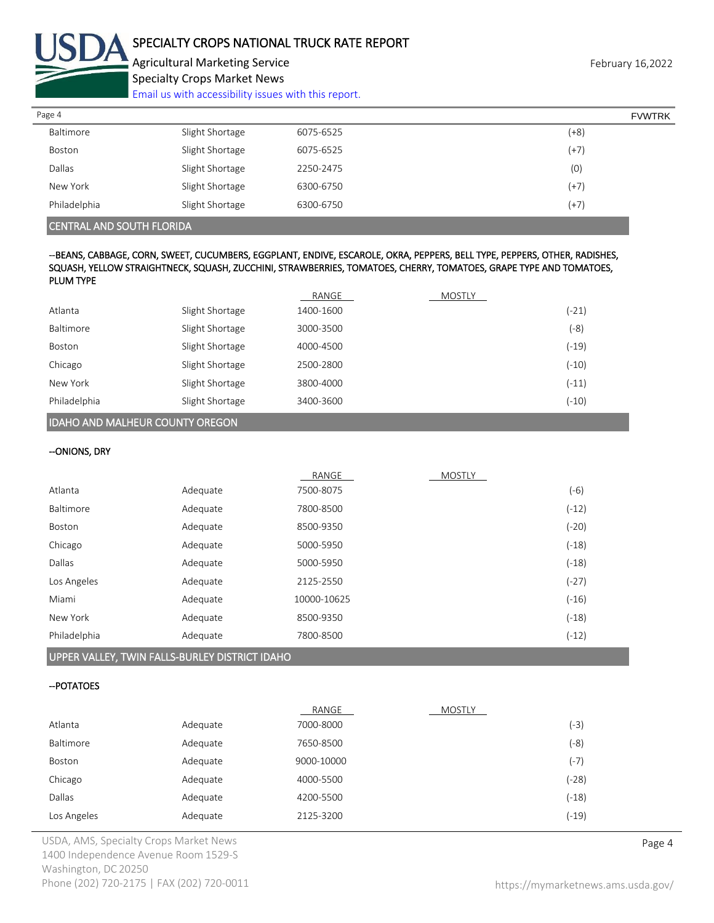

Agricultural Marketing Service **February 16,2022** February 16,2022 Specialty Crops Market News

[Email us with accessibility issues with this report.](mailto:mars@ams.usda.gov?subject=508%20Inquiry/Report)

| Page 4       |                 |           | <b>FVWTRK</b> |
|--------------|-----------------|-----------|---------------|
| Baltimore    | Slight Shortage | 6075-6525 | $(+8)$        |
| Boston       | Slight Shortage | 6075-6525 | $(+7)$        |
| Dallas       | Slight Shortage | 2250-2475 | (0)           |
| New York     | Slight Shortage | 6300-6750 | $(+7)$        |
| Philadelphia | Slight Shortage | 6300-6750 | $(+7)$        |

CENTRAL AND SOUTH FLORIDA

### --BEANS, CABBAGE, CORN, SWEET, CUCUMBERS, EGGPLANT, ENDIVE, ESCAROLE, OKRA, PEPPERS, BELL TYPE, PEPPERS, OTHER, RADISHES, SQUASH, YELLOW STRAIGHTNECK, SQUASH, ZUCCHINI, STRAWBERRIES, TOMATOES, CHERRY, TOMATOES, GRAPE TYPE AND TOMATOES, PLUM TYPE

|                  |                 | RANGE     | MOSTLY |         |
|------------------|-----------------|-----------|--------|---------|
| Atlanta          | Slight Shortage | 1400-1600 |        | $(-21)$ |
| <b>Baltimore</b> | Slight Shortage | 3000-3500 |        | (-8)    |
| Boston           | Slight Shortage | 4000-4500 |        | $(-19)$ |
| Chicago          | Slight Shortage | 2500-2800 |        | $(-10)$ |
| New York         | Slight Shortage | 3800-4000 |        | $(-11)$ |
| Philadelphia     | Slight Shortage | 3400-3600 |        | $(-10)$ |

IDAHO AND MALHEUR COUNTY OREGON

### --ONIONS, DRY

|                  |          | RANGE       | <b>MOSTLY</b> |         |
|------------------|----------|-------------|---------------|---------|
| Atlanta          | Adequate | 7500-8075   |               | (-6)    |
| <b>Baltimore</b> | Adequate | 7800-8500   |               | $(-12)$ |
| Boston           | Adequate | 8500-9350   |               | (-20)   |
| Chicago          | Adequate | 5000-5950   |               | $(-18)$ |
| Dallas           | Adequate | 5000-5950   |               | $(-18)$ |
| Los Angeles      | Adequate | 2125-2550   |               | $(-27)$ |
| Miami            | Adequate | 10000-10625 |               | $(-16)$ |
| New York         | Adequate | 8500-9350   |               | $(-18)$ |
| Philadelphia     | Adequate | 7800-8500   |               | $(-12)$ |
|                  |          |             |               |         |

UPPER VALLEY, TWIN FALLS-BURLEY DISTRICT IDAHO

### --POTATOES

|             |          | RANGE      | <b>MOSTLY</b> |         |
|-------------|----------|------------|---------------|---------|
| Atlanta     | Adequate | 7000-8000  |               | $(-3)$  |
| Baltimore   | Adequate | 7650-8500  |               | (-8)    |
| Boston      | Adequate | 9000-10000 |               | (-7)    |
| Chicago     | Adequate | 4000-5500  |               | $(-28)$ |
| Dallas      | Adequate | 4200-5500  |               | $(-18)$ |
| Los Angeles | Adequate | 2125-3200  |               | (-19)   |

USDA, AMS, Specialty Crops Market News **Page 4** 1400 Independence Avenue Room 1529-S Washington, DC 20250 Phone (202) 720-2175 | FAX (202) 720-0011 <https://mymarketnews.ams.usda.gov/>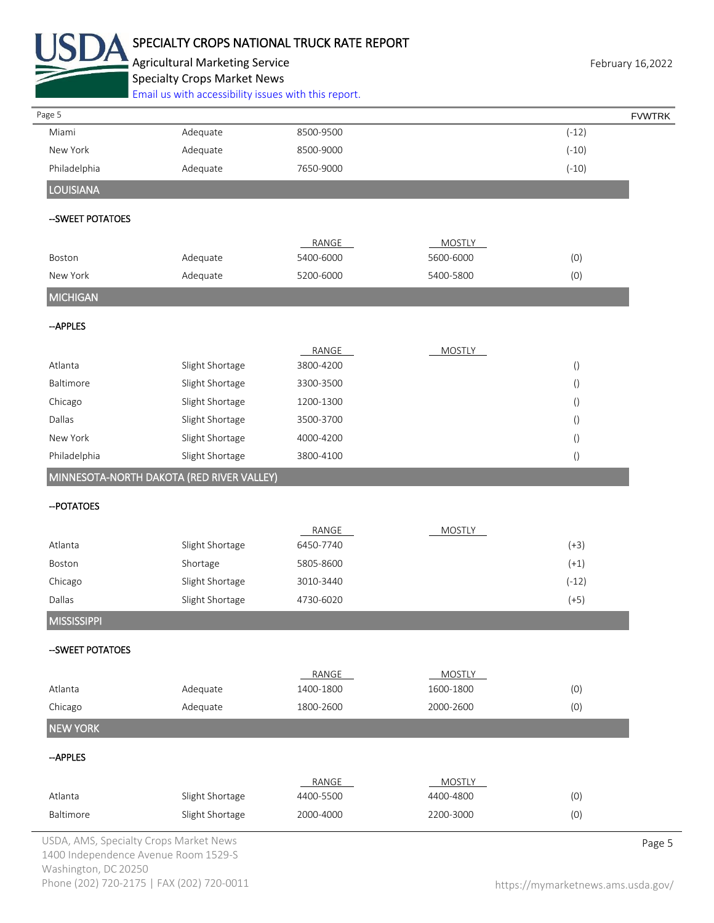

# SPECIALTY CROPS NATIONAL TRUCK RATE REPORT

Agricultural Marketing Service **February 16,2022** February 16,2022 Specialty Crops Market News

[Email us with accessibility issues with this report.](mailto:mars@ams.usda.gov?subject=508%20Inquiry/Report)

| Page 5                                    | Effian us with accessibility issues with this report. |           |               |                  | <b>FVWTRK</b> |
|-------------------------------------------|-------------------------------------------------------|-----------|---------------|------------------|---------------|
| Miami                                     | Adequate                                              | 8500-9500 |               | $(-12)$          |               |
| New York                                  | Adequate                                              | 8500-9000 |               | $(-10)$          |               |
| Philadelphia                              | Adequate                                              | 7650-9000 |               | $(-10)$          |               |
| <b>LOUISIANA</b>                          |                                                       |           |               |                  |               |
|                                           |                                                       |           |               |                  |               |
| -- SWEET POTATOES                         |                                                       |           |               |                  |               |
|                                           |                                                       | RANGE     | <b>MOSTLY</b> |                  |               |
| Boston                                    | Adequate                                              | 5400-6000 | 5600-6000     | (0)              |               |
| New York                                  | Adequate                                              | 5200-6000 | 5400-5800     | (0)              |               |
| <b>MICHIGAN</b>                           |                                                       |           |               |                  |               |
| --APPLES                                  |                                                       |           |               |                  |               |
|                                           |                                                       | RANGE     | <b>MOSTLY</b> |                  |               |
| Atlanta                                   | Slight Shortage                                       | 3800-4200 |               | $\left( \right)$ |               |
| Baltimore                                 | Slight Shortage                                       | 3300-3500 |               | $\left( \right)$ |               |
| Chicago                                   | Slight Shortage                                       | 1200-1300 |               | $\left(\right)$  |               |
| Dallas                                    | Slight Shortage                                       | 3500-3700 |               | $\left(\right)$  |               |
| New York                                  | Slight Shortage                                       | 4000-4200 |               | $\left(\right)$  |               |
| Philadelphia                              | Slight Shortage                                       | 3800-4100 |               | $\left( \right)$ |               |
| MINNESOTA-NORTH DAKOTA (RED RIVER VALLEY) |                                                       |           |               |                  |               |
| -- POTATOES                               |                                                       |           |               |                  |               |
|                                           |                                                       | RANGE     | <b>MOSTLY</b> |                  |               |
| Atlanta                                   | Slight Shortage                                       | 6450-7740 |               | $(+3)$           |               |
| Boston                                    | Shortage                                              | 5805-8600 |               | $(+1)$           |               |
| Chicago                                   | Slight Shortage                                       | 3010-3440 |               | $(-12)$          |               |
| Dallas                                    | Slight Shortage                                       | 4730-6020 |               | $(+5)$           |               |
| <b>MISSISSIPPI</b>                        |                                                       |           |               |                  |               |
| -- SWEET POTATOES                         |                                                       |           |               |                  |               |
|                                           |                                                       | RANGE     | <b>MOSTLY</b> |                  |               |
| Atlanta                                   | Adequate                                              | 1400-1800 | 1600-1800     | (0)              |               |
| Chicago                                   | Adequate                                              | 1800-2600 | 2000-2600     | (0)              |               |
| <b>NEW YORK</b>                           |                                                       |           |               |                  |               |
| --APPLES                                  |                                                       |           |               |                  |               |
|                                           |                                                       | RANGE     | <b>MOSTLY</b> |                  |               |
| Atlanta                                   | Slight Shortage                                       | 4400-5500 | 4400-4800     | (0)              |               |
| Baltimore                                 | Slight Shortage                                       | 2000-4000 | 2200-3000     | (0)              |               |

USDA, AMS, Specialty Crops Market News **Page 5** 1400 Independence Avenue Room 1529-S Washington, DC 20250 Phone (202) 720-2175 | FAX (202) 720-0011 <https://mymarketnews.ams.usda.gov/>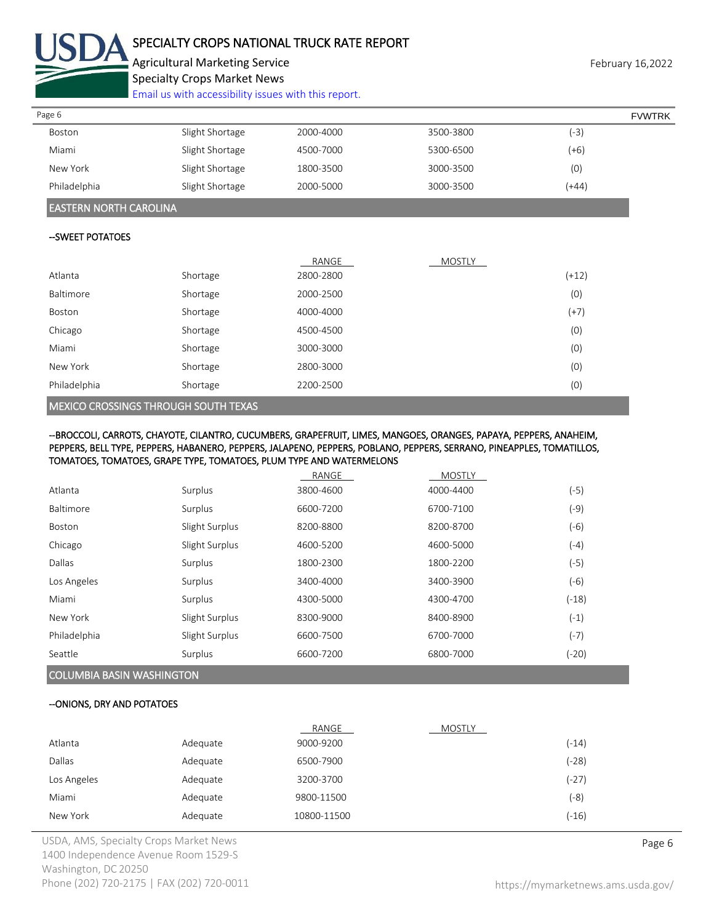

# SPECIALTY CROPS NATIONAL TRUCK RATE REPORT

Agricultural Marketing Service **February 16,2022** February 16,2022 Specialty Crops Market News

[Email us with accessibility issues with this report.](mailto:mars@ams.usda.gov?subject=508%20Inquiry/Report)

| Page 6       |                 |           |           |         | <b>FVWTRK</b> |
|--------------|-----------------|-----------|-----------|---------|---------------|
| Boston       | Slight Shortage | 2000-4000 | 3500-3800 | (-3)    |               |
| Miami        | Slight Shortage | 4500-7000 | 5300-6500 | (+6)    |               |
| New York     | Slight Shortage | 1800-3500 | 3000-3500 | (0)     |               |
| Philadelphia | Slight Shortage | 2000-5000 | 3000-3500 | $(+44)$ |               |

### EASTERN NORTH CAROLINA

### --SWEET POTATOES

|              |          | RANGE     | <b>MOSTLY</b> |         |
|--------------|----------|-----------|---------------|---------|
| Atlanta      | Shortage | 2800-2800 |               | $(+12)$ |
| Baltimore    | Shortage | 2000-2500 |               | (0)     |
| Boston       | Shortage | 4000-4000 |               | $(+7)$  |
| Chicago      | Shortage | 4500-4500 |               | (0)     |
| Miami        | Shortage | 3000-3000 |               | (0)     |
| New York     | Shortage | 2800-3000 |               | (0)     |
| Philadelphia | Shortage | 2200-2500 |               | (0)     |

### MEXICO CROSSINGS THROUGH SOUTH TEXAS

#### --BROCCOLI, CARROTS, CHAYOTE, CILANTRO, CUCUMBERS, GRAPEFRUIT, LIMES, MANGOES, ORANGES, PAPAYA, PEPPERS, ANAHEIM, PEPPERS, BELL TYPE, PEPPERS, HABANERO, PEPPERS, JALAPENO, PEPPERS, POBLANO, PEPPERS, SERRANO, PINEAPPLES, TOMATILLOS, TOMATOES, TOMATOES, GRAPE TYPE, TOMATOES, PLUM TYPE AND WATERMELONS

|              |                | RANGE     | <b>MOSTLY</b> |         |
|--------------|----------------|-----------|---------------|---------|
| Atlanta      | Surplus        | 3800-4600 | 4000-4400     | $(-5)$  |
| Baltimore    | Surplus        | 6600-7200 | 6700-7100     | (-9)    |
| Boston       | Slight Surplus | 8200-8800 | 8200-8700     | $(-6)$  |
| Chicago      | Slight Surplus | 4600-5200 | 4600-5000     | $(-4)$  |
| Dallas       | Surplus        | 1800-2300 | 1800-2200     | (-5)    |
| Los Angeles  | Surplus        | 3400-4000 | 3400-3900     | $(-6)$  |
| Miami        | Surplus        | 4300-5000 | 4300-4700     | $(-18)$ |
| New York     | Slight Surplus | 8300-9000 | 8400-8900     | $(-1)$  |
| Philadelphia | Slight Surplus | 6600-7500 | 6700-7000     | $(-7)$  |
| Seattle      | Surplus        | 6600-7200 | 6800-7000     | (-20)   |

# COLUMBIA BASIN WASHINGTON

#### --ONIONS, DRY AND POTATOES

|               |          | RANGE       | MOSTLY |         |
|---------------|----------|-------------|--------|---------|
| Atlanta       | Adequate | 9000-9200   |        | $(-14)$ |
| <b>Dallas</b> | Adequate | 6500-7900   |        | $(-28)$ |
| Los Angeles   | Adequate | 3200-3700   |        | $(-27)$ |
| Miami         | Adequate | 9800-11500  |        | (-8)    |
| New York      | Adequate | 10800-11500 |        | $(-16)$ |

USDA, AMS, Specialty Crops Market News **Page 6** 1400 Independence Avenue Room 1529-S Washington, DC 20250 Phone (202) 720-2175 | FAX (202) 720-0011 <https://mymarketnews.ams.usda.gov/>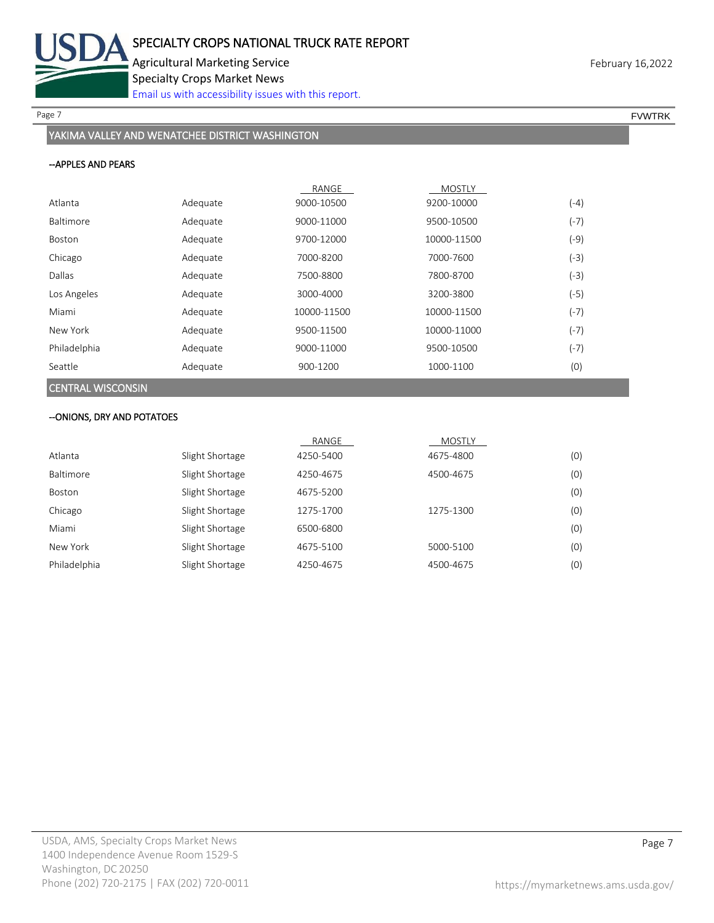

Page 7 FOUNTRK And the set of the set of the set of the set of the set of the set of the set of the set of the set of the set of the set of the set of the set of the set of the set of the set of the set of the set of the s

# YAKIMA VALLEY AND WENATCHEE DISTRICT WASHINGTON

### --APPLES AND PEARS

|                          |          | RANGE       | <b>MOSTLY</b> |        |
|--------------------------|----------|-------------|---------------|--------|
| Atlanta                  | Adequate | 9000-10500  | 9200-10000    | $(-4)$ |
| <b>Baltimore</b>         | Adequate | 9000-11000  | 9500-10500    | $(-7)$ |
| Boston                   | Adequate | 9700-12000  | 10000-11500   | (-9)   |
| Chicago                  | Adequate | 7000-8200   | 7000-7600     | (-3)   |
| Dallas                   | Adequate | 7500-8800   | 7800-8700     | $(-3)$ |
| Los Angeles              | Adequate | 3000-4000   | 3200-3800     | (-5)   |
| Miami                    | Adequate | 10000-11500 | 10000-11500   | $(-7)$ |
| New York                 | Adequate | 9500-11500  | 10000-11000   | $(-7)$ |
| Philadelphia             | Adequate | 9000-11000  | 9500-10500    | $(-7)$ |
| Seattle                  | Adequate | 900-1200    | 1000-1100     | (0)    |
| <b>CENTRAL WISCONSIN</b> |          |             |               |        |

## --ONIONS, DRY AND POTATOES

|              |                 | RANGE     | MOSTLY    |     |
|--------------|-----------------|-----------|-----------|-----|
| Atlanta      | Slight Shortage | 4250-5400 | 4675-4800 | (0) |
| Baltimore    | Slight Shortage | 4250-4675 | 4500-4675 | (0) |
| Boston       | Slight Shortage | 4675-5200 |           | (0) |
| Chicago      | Slight Shortage | 1275-1700 | 1275-1300 | (0) |
| Miami        | Slight Shortage | 6500-6800 |           | (0) |
| New York     | Slight Shortage | 4675-5100 | 5000-5100 | (0) |
| Philadelphia | Slight Shortage | 4250-4675 | 4500-4675 | (0) |